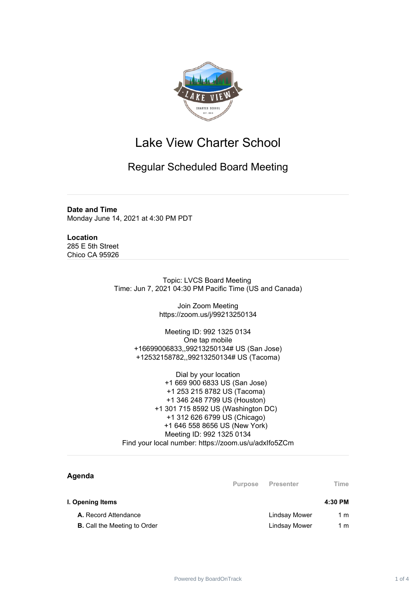

## Lake View Charter School

## Regular Scheduled Board Meeting

**Date and Time** Monday June 14, 2021 at 4:30 PM PDT

**Location** 285 E 5th Street Chico CA 95926

> Topic: LVCS Board Meeting Time: Jun 7, 2021 04:30 PM Pacific Time (US and Canada)

> > Join Zoom Meeting https://zoom.us/j/99213250134

Meeting ID: 992 1325 0134 One tap mobile +16699006833,,99213250134# US (San Jose) +12532158782,,99213250134# US (Tacoma)

Dial by your location +1 669 900 6833 US (San Jose) +1 253 215 8782 US (Tacoma) +1 346 248 7799 US (Houston) +1 301 715 8592 US (Washington DC) +1 312 626 6799 US (Chicago) +1 646 558 8656 US (New York) Meeting ID: 992 1325 0134 Find your local number: https://zoom.us/u/adxIfo5ZCm

| Agenda                              | <b>Purpose</b> | <b>Presenter</b>     | Time    |
|-------------------------------------|----------------|----------------------|---------|
| I. Opening Items                    |                |                      | 4:30 PM |
| A. Record Attendance                |                | <b>Lindsay Mower</b> | 1 m     |
| <b>B.</b> Call the Meeting to Order |                | <b>Lindsay Mower</b> | 1 m     |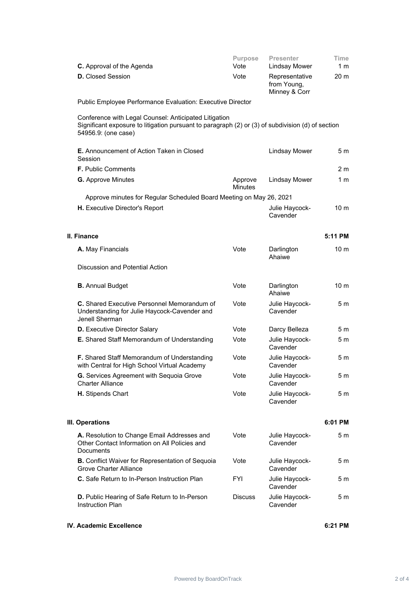| C. Approval of the Agenda                                                                                                                                                         | Purpose<br>Vote           | <b>Presenter</b><br><b>Lindsay Mower</b>       | Time<br>1 m     |
|-----------------------------------------------------------------------------------------------------------------------------------------------------------------------------------|---------------------------|------------------------------------------------|-----------------|
| <b>D.</b> Closed Session                                                                                                                                                          | Vote                      | Representative<br>from Young,<br>Minney & Corr | 20 <sub>m</sub> |
| Public Employee Performance Evaluation: Executive Director                                                                                                                        |                           |                                                |                 |
| Conference with Legal Counsel: Anticipated Litigation<br>Significant exposure to litigation pursuant to paragraph (2) or (3) of subdivision (d) of section<br>54956.9: (one case) |                           |                                                |                 |
| <b>E.</b> Announcement of Action Taken in Closed<br>Session                                                                                                                       |                           | <b>Lindsay Mower</b>                           | 5 m             |
| <b>F.</b> Public Comments                                                                                                                                                         |                           |                                                | 2 <sub>m</sub>  |
| <b>G.</b> Approve Minutes                                                                                                                                                         | Approve<br><b>Minutes</b> | <b>Lindsay Mower</b>                           | 1 <sub>m</sub>  |
| Approve minutes for Regular Scheduled Board Meeting on May 26, 2021                                                                                                               |                           |                                                |                 |
| H. Executive Director's Report                                                                                                                                                    |                           | Julie Haycock-<br>Cavender                     | 10 <sub>m</sub> |
| II. Finance                                                                                                                                                                       |                           |                                                | 5:11 PM         |
| A. May Financials                                                                                                                                                                 | Vote                      | Darlington<br>Ahaiwe                           | 10 <sub>m</sub> |
| Discussion and Potential Action                                                                                                                                                   |                           |                                                |                 |
| <b>B.</b> Annual Budget                                                                                                                                                           | Vote                      | Darlington<br>Ahaiwe                           | 10 <sub>m</sub> |
| C. Shared Executive Personnel Memorandum of<br>Understanding for Julie Haycock-Cavender and<br>Jenell Sherman                                                                     | Vote                      | Julie Haycock-<br>Cavender                     | 5 <sub>m</sub>  |
| <b>D.</b> Executive Director Salary                                                                                                                                               | Vote                      | Darcy Belleza                                  | 5 m             |
| E. Shared Staff Memorandum of Understanding                                                                                                                                       | Vote                      | Julie Haycock-<br>Cavender                     | 5m              |
| F. Shared Staff Memorandum of Understanding<br>with Central for High School Virtual Academy                                                                                       | Vote                      | Julie Haycock-<br>Cavender                     | 5 m             |
| G. Services Agreement with Sequoia Grove<br><b>Charter Alliance</b>                                                                                                               | Vote                      | Julie Haycock-<br>Cavender                     | 5 m             |
| H. Stipends Chart                                                                                                                                                                 | Vote                      | Julie Haycock-<br>Cavender                     | 5 m             |
| III. Operations                                                                                                                                                                   |                           |                                                | 6:01 PM         |
| A. Resolution to Change Email Addresses and<br>Other Contact Information on All Policies and<br>Documents                                                                         | Vote                      | Julie Haycock-<br>Cavender                     | 5 m             |
| <b>B.</b> Conflict Waiver for Representation of Sequoia<br><b>Grove Charter Alliance</b>                                                                                          | Vote                      | Julie Haycock-<br>Cavender                     | 5 m             |
| C. Safe Return to In-Person Instruction Plan                                                                                                                                      | <b>FYI</b>                | Julie Haycock-<br>Cavender                     | 5 <sub>m</sub>  |
| D. Public Hearing of Safe Return to In-Person<br><b>Instruction Plan</b>                                                                                                          | <b>Discuss</b>            | Julie Haycock-<br>Cavender                     | 5 m             |

## **IV. Academic Excellence 6:21 PM**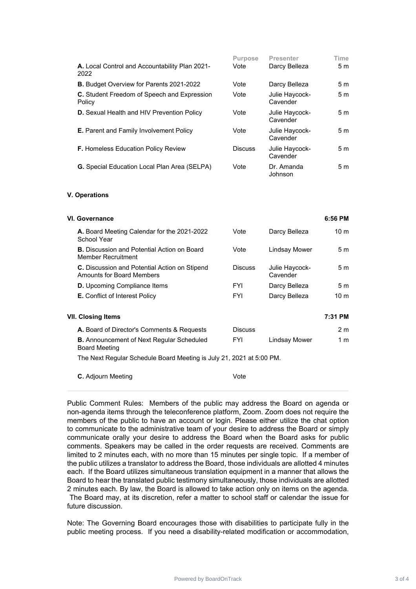|                                                              | <b>Purpose</b> | Presenter                  | Time |
|--------------------------------------------------------------|----------------|----------------------------|------|
| A. Local Control and Accountability Plan 2021-<br>2022       | Vote           | Darcy Belleza              | 5 m  |
| <b>B.</b> Budget Overview for Parents 2021-2022              | Vote           | Darcy Belleza              | 5 m  |
| <b>C.</b> Student Freedom of Speech and Expression<br>Policy | Vote           | Julie Haycock-<br>Cavender | 5m   |
| <b>D.</b> Sexual Health and HIV Prevention Policy            | Vote           | Julie Haycock-<br>Cavender | 5m   |
| <b>E.</b> Parent and Family Involvement Policy               | Vote           | Julie Haycock-<br>Cavender | 5m   |
| <b>F.</b> Homeless Education Policy Review                   | <b>Discuss</b> | Julie Haycock-<br>Cavender | 5m   |
| <b>G.</b> Special Education Local Plan Area (SELPA)          | Vote           | Dr. Amanda<br>Johnson      | 5m   |

## **V. Operations**

| VI. Governance                                                                    |                |                            | 6:56 PM         |
|-----------------------------------------------------------------------------------|----------------|----------------------------|-----------------|
| A. Board Meeting Calendar for the 2021-2022<br>School Year                        | Vote           | Darcy Belleza              | 10 <sub>m</sub> |
| <b>B.</b> Discussion and Potential Action on Board<br>Member Recruitment          | Vote           | Lindsay Mower              | 5m              |
| <b>C.</b> Discussion and Potential Action on Stipend<br>Amounts for Board Members | <b>Discuss</b> | Julie Haycock-<br>Cavender | 5 m             |
| <b>D.</b> Upcoming Compliance Items                                               | <b>FYI</b>     | Darcy Belleza              | 5 m             |
| <b>E.</b> Conflict of Interest Policy                                             | <b>FYI</b>     | Darcy Belleza              | 10 <sub>m</sub> |
| VII. Closing Items                                                                |                |                            | 7:31 PM         |
| A. Board of Director's Comments & Requests                                        | <b>Discuss</b> |                            | 2 <sub>m</sub>  |
| <b>B.</b> Announcement of Next Regular Scheduled<br><b>Board Meeting</b>          | <b>FYI</b>     | Lindsay Mower              | 1 m             |
| The Next Regular Schedule Board Meeting is July 21, 2021 at 5:00 PM.              |                |                            |                 |

**C.** Adjourn Meeting Vote

Public Comment Rules: Members of the public may address the Board on agenda or non-agenda items through the teleconference platform, Zoom. Zoom does not require the members of the public to have an account or login. Please either utilize the chat option to communicate to the administrative team of your desire to address the Board or simply communicate orally your desire to address the Board when the Board asks for public comments. Speakers may be called in the order requests are received. Comments are limited to 2 minutes each, with no more than 15 minutes per single topic. If a member of the public utilizes a translator to address the Board, those individuals are allotted 4 minutes each. If the Board utilizes simultaneous translation equipment in a manner that allows the Board to hear the translated public testimony simultaneously, those individuals are allotted 2 minutes each. By law, the Board is allowed to take action only on items on the agenda. The Board may, at its discretion, refer a matter to school staff or calendar the issue for future discussion.

Note: The Governing Board encourages those with disabilities to participate fully in the public meeting process. If you need a disability-related modification or accommodation,